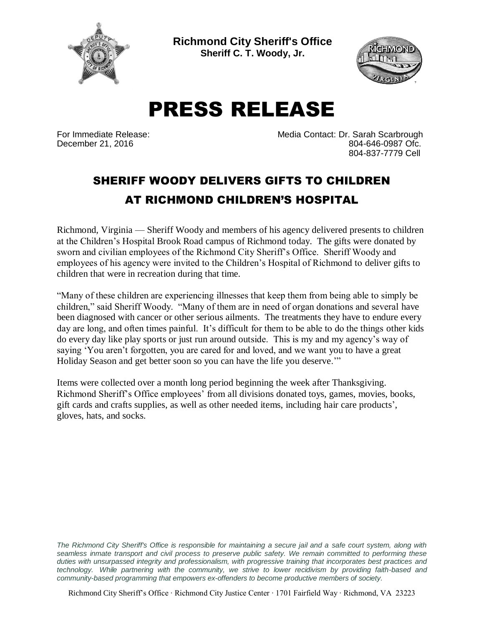

**Richmond City Sheriff's Office Sheriff C. T. Woody, Jr.**



## PRESS RELEASE

For Immediate Release: Media Contact: Dr. Sarah Scarbrough December 21, 2016 **804-646-0987** Ofc. 804-837-7779 Cell

## SHERIFF WOODY DELIVERS GIFTS TO CHILDREN AT RICHMOND CHILDREN'S HOSPITAL

Richmond, Virginia — Sheriff Woody and members of his agency delivered presents to children at the Children's Hospital Brook Road campus of Richmond today. The gifts were donated by sworn and civilian employees of the Richmond City Sheriff's Office. Sheriff Woody and employees of his agency were invited to the Children's Hospital of Richmond to deliver gifts to children that were in recreation during that time.

"Many of these children are experiencing illnesses that keep them from being able to simply be children," said Sheriff Woody. "Many of them are in need of organ donations and several have been diagnosed with cancer or other serious ailments. The treatments they have to endure every day are long, and often times painful. It's difficult for them to be able to do the things other kids do every day like play sports or just run around outside. This is my and my agency's way of saying 'You aren't forgotten, you are cared for and loved, and we want you to have a great Holiday Season and get better soon so you can have the life you deserve.'"

Items were collected over a month long period beginning the week after Thanksgiving. Richmond Sheriff's Office employees' from all divisions donated toys, games, movies, books, gift cards and crafts supplies, as well as other needed items, including hair care products', gloves, hats, and socks.

*The Richmond City Sheriff's Office is responsible for maintaining a secure jail and a safe court system, along with seamless inmate transport and civil process to preserve public safety. We remain committed to performing these duties with unsurpassed integrity and professionalism, with progressive training that incorporates best practices and technology. While partnering with the community, we strive to lower recidivism by providing faith-based and community-based programming that empowers ex-offenders to become productive members of society.*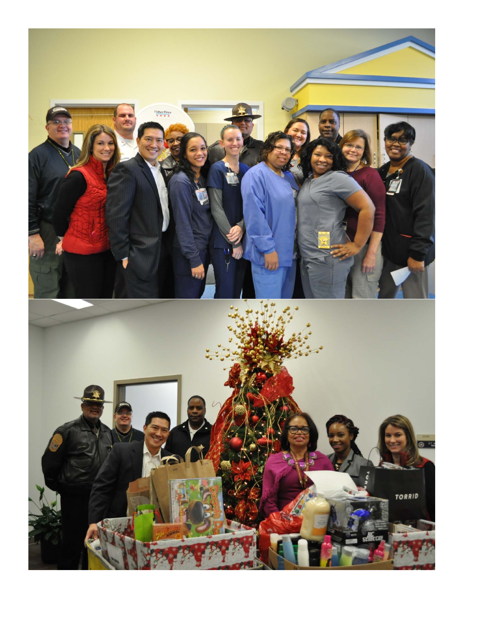